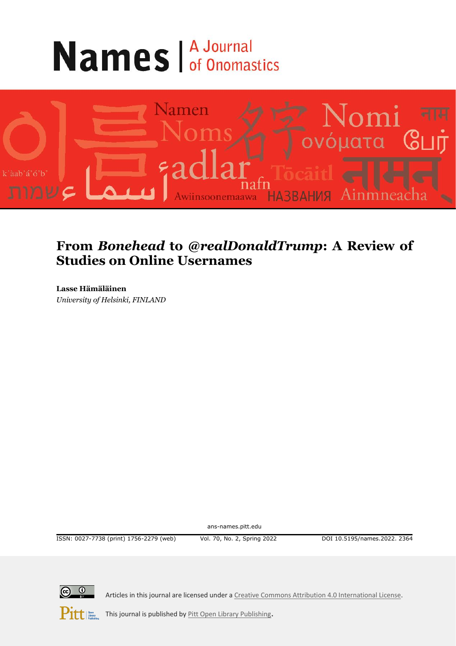# **Names** *A Journal*



# **From** *Bonehead* **to** *@realDonaldTrump***: A Review of Studies on Online Usernames**

**Lasse Hämäläinen** *University of Helsinki, FINLAND*

ans-names.pitt.edu

ISSN: 0027-7738 (print) 1756-2279 (web) Vol. 70, No. 2, Spring 2022 DOI 10.5195/names.2022. 2364



Articles in this journal are licensed under [a Creative Commons Attribution 4.0 International License.](https://creativecommons.org/licenses/by/4.0/)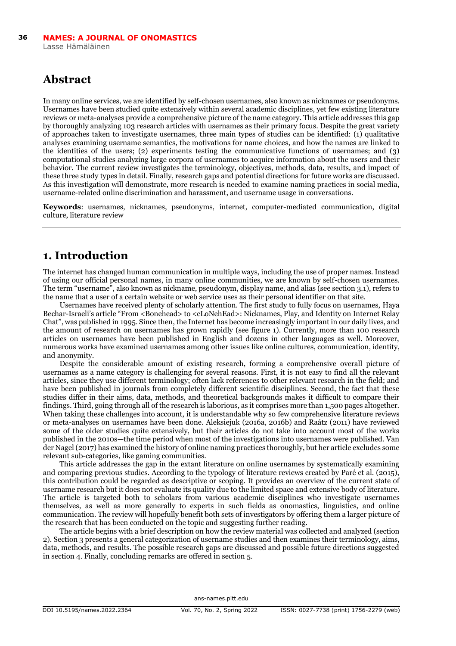## **Abstract**

In many online services, we are identified by self-chosen usernames, also known as nicknames or pseudonyms. Usernames have been studied quite extensively within several academic disciplines, yet few existing literature reviews or meta-analyses provide a comprehensive picture of the name category. This article addresses this gap by thoroughly analyzing 103 research articles with usernames as their primary focus. Despite the great variety of approaches taken to investigate usernames, three main types of studies can be identified: (1) qualitative analyses examining username semantics, the motivations for name choices, and how the names are linked to the identities of the users; (2) experiments testing the communicative functions of usernames; and (3) computational studies analyzing large corpora of usernames to acquire information about the users and their behavior. The current review investigates the terminology, objectives, methods, data, results, and impact of these three study types in detail. Finally, research gaps and potential directions for future works are discussed. As this investigation will demonstrate, more research is needed to examine naming practices in social media, username-related online discrimination and harassment, and username usage in conversations.

**Keywords**: usernames, nicknames, pseudonyms, internet, computer-mediated communication, digital culture, literature review

### **1. Introduction**

The internet has changed human communication in multiple ways, including the use of proper names. Instead of using our official personal names, in many online communities, we are known by self-chosen usernames. The term "username", also known as nickname, pseudonym, display name, and alias (see section 3.1), refers to the name that a user of a certain website or web service uses as their personal identifier on that site.

Usernames have received plenty of scholarly attention. The first study to fully focus on usernames, Haya Bechar-Israeli's article "From <Bonehead> to <cLoNehEad>: Nicknames, Play, and Identity on Internet Relay Chat", was published in 1995. Since then, the Internet has become increasingly important in our daily lives, and the amount of research on usernames has grown rapidly (see figure 1). Currently, more than 100 research articles on usernames have been published in English and dozens in other languages as well. Moreover, numerous works have examined usernames among other issues like online cultures, communication, identity, and anonymity.

Despite the considerable amount of existing research, forming a comprehensive overall picture of usernames as a name category is challenging for several reasons. First, it is not easy to find all the relevant articles, since they use different terminology; often lack references to other relevant research in the field; and have been published in journals from completely different scientific disciplines. Second, the fact that these studies differ in their aims, data, methods, and theoretical backgrounds makes it difficult to compare their findings. Third, going through all of the research is laborious, as it comprises more than 1,500 pages altogether. When taking these challenges into account, it is understandable why so few comprehensive literature reviews or meta-analyses on usernames have been done. Aleksiejuk (2016a, 2016b) and Raátz (2011) have reviewed some of the older studies quite extensively, but their articles do not take into account most of the works published in the 2010s—the time period when most of the investigations into usernames were published. Van der Nagel (2017) has examined the history of online naming practices thoroughly, but her article excludes some relevant sub-categories, like gaming communities.

This article addresses the gap in the extant literature on online usernames by systematically examining and comparing previous studies. According to the typology of literature reviews created by Paré et al. (2015), this contribution could be regarded as descriptive or scoping. It provides an overview of the current state of username research but it does not evaluate its quality due to the limited space and extensive body of literature. The article is targeted both to scholars from various academic disciplines who investigate usernames themselves, as well as more generally to experts in such fields as onomastics, linguistics, and online communication. The review will hopefully benefit both sets of investigators by offering them a larger picture of the research that has been conducted on the topic and suggesting further reading.

The article begins with a brief description on how the review material was collected and analyzed (section 2). Section 3 presents a general categorization of username studies and then examines their terminology, aims, data, methods, and results. The possible research gaps are discussed and possible future directions suggested in section 4. Finally, concluding remarks are offered in section 5.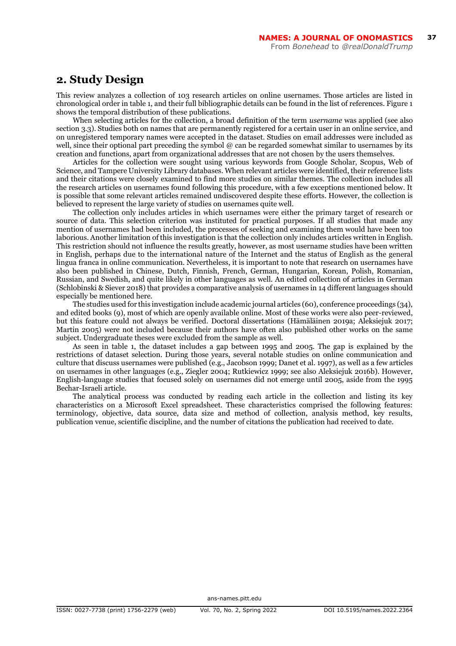#### **2. Study Design**

This review analyzes a collection of 103 research articles on online usernames. Those articles are listed in chronological order in table 1, and their full bibliographic details can be found in the list of references. Figure 1 shows the temporal distribution of these publications.

When selecting articles for the collection, a broad definition of the term *username* was applied (see also section 3.3). Studies both on names that are permanently registered for a certain user in an online service, and on unregistered temporary names were accepted in the dataset. Studies on email addresses were included as well, since their optional part preceding the symbol @ can be regarded somewhat similar to usernames by its creation and functions, apart from organizational addresses that are not chosen by the users themselves.

Articles for the collection were sought using various keywords from Google Scholar, Scopus, Web of Science, and Tampere University Library databases. When relevant articles were identified, their reference lists and their citations were closely examined to find more studies on similar themes. The collection includes all the research articles on usernames found following this procedure, with a few exceptions mentioned below. It is possible that some relevant articles remained undiscovered despite these efforts. However, the collection is believed to represent the large variety of studies on usernames quite well.

The collection only includes articles in which usernames were either the primary target of research or source of data. This selection criterion was instituted for practical purposes. If all studies that made any mention of usernames had been included, the processes of seeking and examining them would have been too laborious. Another limitation of this investigation is that the collection only includes articles written in English. This restriction should not influence the results greatly, however, as most username studies have been written in English, perhaps due to the international nature of the Internet and the status of English as the general lingua franca in online communication. Nevertheless, it is important to note that research on usernames have also been published in Chinese, Dutch, Finnish, French, German, Hungarian, Korean, Polish, Romanian, Russian, and Swedish, and quite likely in other languages as well. An edited collection of articles in German (Schlobinski & Siever 2018) that provides a comparative analysis of usernames in 14 different languages should especially be mentioned here.

The studies used for this investigation include academic journal articles (60), conference proceedings (34), and edited books (9), most of which are openly available online. Most of these works were also peer-reviewed, but this feature could not always be verified. Doctoral dissertations (Hämäläinen 2019a; Aleksiejuk 2017; Martin 2005) were not included because their authors have often also published other works on the same subject. Undergraduate theses were excluded from the sample as well.

As seen in table 1, the dataset includes a gap between 1995 and 2005. The gap is explained by the restrictions of dataset selection. During those years, several notable studies on online communication and culture that discuss usernames were published (e.g., Jacobson 1999; Danet et al. 1997), as well as a few articles on usernames in other languages (e.g., Ziegler 2004; Rutkiewicz 1999; see also Aleksiejuk 2016b). However, English-language studies that focused solely on usernames did not emerge until 2005, aside from the 1995 Bechar-Israeli article.

The analytical process was conducted by reading each article in the collection and listing its key characteristics on a Microsoft Excel spreadsheet. These characteristics comprised the following features: terminology, objective, data source, data size and method of collection, analysis method, key results, publication venue, scientific discipline, and the number of citations the publication had received to date.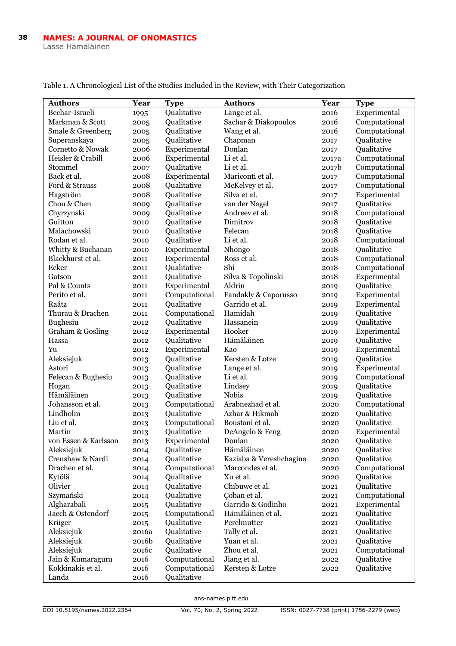| <b>Authors</b>       | Year  | <b>Type</b>   | <b>Authors</b>          | Year  | <b>Type</b>   |
|----------------------|-------|---------------|-------------------------|-------|---------------|
| Bechar-Israeli       | 1995  | Qualitative   | Lange et al.            | 2016  | Experimental  |
| Markman & Scott      | 2005  | Qualitative   | Sachar & Diakopoulos    | 2016  | Computational |
| Smale & Greenberg    | 2005  | Oualitative   | Wang et al.             | 2016  | Computational |
| Superanskaya         | 2005  | Qualitative   | Chapman                 | 2017  | Qualitative   |
| Cornetto & Nowak     | 2006  | Experimental  | Donlan                  | 2017  | Qualitative   |
| Heisler & Crabill    | 2006  | Experimental  | Li et al.               | 2017a | Computational |
| Stommel              | 2007  | Oualitative   | Li et al.               | 2017b | Computational |
| Back et al.          | 2008  | Experimental  | Mariconti et al.        | 2017  | Computational |
| Ford & Strauss       | 2008  | Qualitative   | McKelvey et al.         | 2017  | Computational |
| Hagström             | 2008  | Qualitative   | Silva et al.            | 2017  | Experimental  |
| Chou & Chen          | 2009  | Oualitative   | van der Nagel           | 2017  | Oualitative   |
| Chyrzynski           | 2009  | Oualitative   | Andreev et al.          | 2018  | Computational |
| Guitton              | 2010  | Oualitative   | Dimitrov                | 2018  | Qualitative   |
| Malachowski          | 2010  | Qualitative   | Felecan                 | 2018  | Qualitative   |
| Rodan et al.         | 2010  | Qualitative   | Li et al.               | 2018  | Computational |
| Whitty & Buchanan    | 2010  | Experimental  | Nhongo                  | 2018  | Oualitative   |
| Blackhurst et al.    | 2011  | Experimental  | Ross et al.             | 2018  | Computational |
| Ecker                | 2011  | Oualitative   | Shi                     | 2018  | Computational |
| Gatson               | 2011  | Qualitative   | Silva & Topolinski      | 2018  | Experimental  |
| Pal & Counts         | 2011  | Experimental  | Aldrin                  | 2019  | Oualitative   |
| Perito et al.        | 2011  | Computational | Fandakly & Caporusso    | 2019  | Experimental  |
| Raátz                | 2011  | Oualitative   | Garrido et al.          | 2019  | Experimental  |
| Thurau & Drachen     | 2011  | Computational | Hamidah                 | 2019  | Qualitative   |
| <b>Bughesiu</b>      | 2012  | Qualitative   | Hassanein               | 2019  | Qualitative   |
| Graham & Gosling     | 2012  | Experimental  | Hooker                  | 2019  | Experimental  |
| Hassa                | 2012  | Qualitative   | Hämäläinen              | 2019  | Qualitative   |
| Yu                   | 2012  | Experimental  | Kao                     | 2019  | Experimental  |
| Aleksiejuk           | 2013  | Oualitative   | Kersten & Lotze         | 2019  | Qualitative   |
| Astori               | 2013  | Qualitative   | Lange et al.            | 2019  | Experimental  |
| Felecan & Bughesiu   | 2013  | Oualitative   | Li et al.               | 2019  | Computational |
| Hogan                | 2013  | Qualitative   | Lindsey                 | 2019  | Qualitative   |
| Hämäläinen           | 2013  | Qualitative   | <b>Nobis</b>            | 2019  | Qualitative   |
| Johansson et al.     | 2013  | Computational | Arabnezhad et al.       | 2020  | Computational |
| Lindholm             | 2013  | Oualitative   | Azhar & Hikmah          | 2020  | Oualitative   |
| Liu et al.           | 2013  | Computational | Boustani et al.         | 2020  | Oualitative   |
| Martin               | 2013  | Qualitative   | DeAngelo & Feng         | 2020  | Experimental  |
| von Essen & Karlsson | 2013  | Experimental  | Donlan                  | 2020  | Qualitative   |
| Aleksiejuk           | 2014  | Qualitative   | Hämäläinen              | 2020  | Qualitative   |
| Crenshaw & Nardi     | 2014  | Qualitative   | Kaziaba & Vereshchagina | 2020  | Qualitative   |
| Drachen et al.       | 2014  | Computational | Marcondes et al.        | 2020  | Computational |
| Kytölä               | 2014  | Qualitative   | X <sub>11</sub> et al.  | 2020  | Qualitative   |
| Olivier              | 2014  | Oualitative   | Chibuwe et al.          | 2021  | Oualitative   |
| Szymański            | 2014  | Qualitative   | Coban et al.            | 2021  | Computational |
| Algharabali          | 2015  | Qualitative   | Garrido & Godinho       | 2021  | Experimental  |
| Jaech & Ostendorf    | 2015  | Computational | Hämäläinen et al.       | 2021  | Qualitative   |
| Krüger               | 2015  | Qualitative   | Perelmutter             | 2021  | Oualitative   |
| Aleksiejuk           | 2016a | Oualitative   | Tally et al.            | 2021  | Oualitative   |
| Aleksiejuk           | 2016b | Qualitative   | Yuan et al.             | 2021  | Qualitative   |
| Aleksiejuk           | 2016c | Qualitative   | Zhou et al.             | 2021  | Computational |
| Jain & Kumaraguru    | 2016  | Computational | Jiang et al.            | 2022  | Qualitative   |
| Kokkinakis et al.    | 2016  | Computational | Kersten & Lotze         | 2022  | Qualitative   |
| Landa                | 2016  | Oualitative   |                         |       |               |

Table 1. A Chronological List of the Studies Included in the Review, with Their Categorization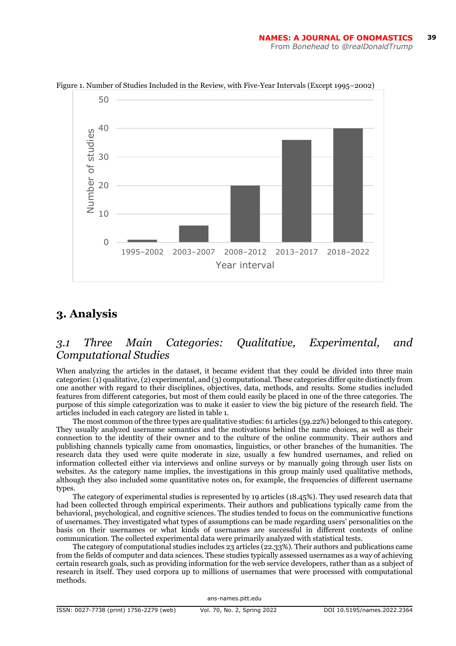

Figure 1. Number of Studies Included in the Review, with Five-Year Intervals (Except 1995–2002)

#### **3. Analysis**

#### *3.1 Three Main Categories: Qualitative, Experimental, and Computational Studies*

When analyzing the articles in the dataset, it became evident that they could be divided into three main categories: (1) qualitative, (2) experimental, and (3) computational. These categories differ quite distinctly from one another with regard to their disciplines, objectives, data, methods, and results. Some studies included features from different categories, but most of them could easily be placed in one of the three categories. The purpose of this simple categorization was to make it easier to view the big picture of the research field. The articles included in each category are listed in table 1.

The most common of the three types are qualitative studies: 61 articles (59.22%) belonged to this category. They usually analyzed username semantics and the motivations behind the name choices, as well as their connection to the identity of their owner and to the culture of the online community. Their authors and publishing channels typically came from onomastics, linguistics, or other branches of the humanities. The research data they used were quite moderate in size, usually a few hundred usernames, and relied on information collected either via interviews and online surveys or by manually going through user lists on websites. As the category name implies, the investigations in this group mainly used qualitative methods, although they also included some quantitative notes on, for example, the frequencies of different username types.

The category of experimental studies is represented by 19 articles (18.45%). They used research data that had been collected through empirical experiments. Their authors and publications typically came from the behavioral, psychological, and cognitive sciences. The studies tended to focus on the communicative functions of usernames. They investigated what types of assumptions can be made regarding users' personalities on the basis on their usernames or what kinds of usernames are successful in different contexts of online communication. The collected experimental data were primarily analyzed with statistical tests.

The category of computational studies includes 23 articles (22.33%). Their authors and publications came from the fields of computer and data sciences. These studies typically assessed usernames as a way of achieving certain research goals, such as providing information for the web service developers, rather than as a subject of research in itself. They used corpora up to millions of usernames that were processed with computational methods.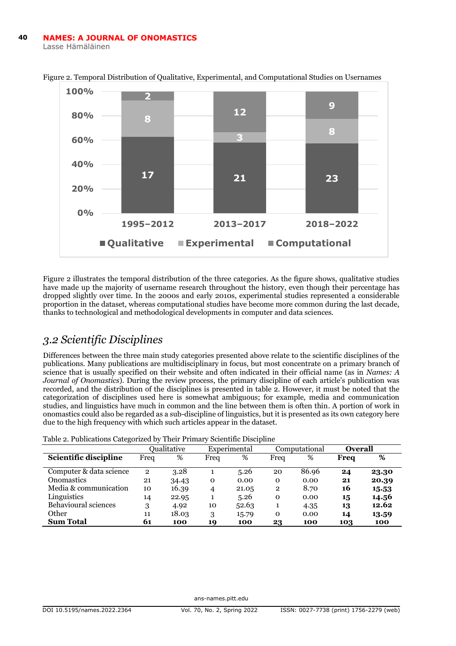

Figure 2. Temporal Distribution of Qualitative, Experimental, and Computational Studies on Usernames

Figure 2 illustrates the temporal distribution of the three categories. As the figure shows, qualitative studies have made up the majority of username research throughout the history, even though their percentage has dropped slightly over time. In the 2000s and early 2010s, experimental studies represented a considerable proportion in the dataset, whereas computational studies have become more common during the last decade, thanks to technological and methodological developments in computer and data sciences.

#### *3.2 Scientific Disciplines*

Differences between the three main study categories presented above relate to the scientific disciplines of the publications. Many publications are multidisciplinary in focus, but most concentrate on a primary branch of science that is usually specified on their website and often indicated in their official name (as in *Names: A Journal of Onomastics*). During the review process, the primary discipline of each article's publication was recorded, and the distribution of the disciplines is presented in table 2. However, it must be noted that the categorization of disciplines used here is somewhat ambiguous; for example, media and communication studies, and linguistics have much in common and the line between them is often thin. A portion of work in onomastics could also be regarded as a sub-discipline of linguistics, but it is presented as its own category here due to the high frequency with which such articles appear in the dataset.

Table 2. Publications Categorized by Their Primary Scientific Discipline

|                         |              | Oualitative | Experimental |       |              | Computational |      | <b>Overall</b> |
|-------------------------|--------------|-------------|--------------|-------|--------------|---------------|------|----------------|
| Scientific discipline   | Frea         | %           | Frea         | %     | Frea         | %             | Freq | %              |
| Computer & data science | $\mathbf{2}$ | 3.28        |              | 5.26  | 20           | 86.96         | 24   | 23.30          |
| <b>Onomastics</b>       | 21           | 34.43       | 0            | 0.00  | $\mathbf 0$  | 0.00          | 21   | 20.39          |
| Media & communication   | 10           | 16.39       | 4            | 21.05 | $\mathbf{2}$ | 8.70          | 16   | 15.53          |
| Linguistics             | 14           | 22.95       |              | 5.26  | $\Omega$     | 0.00          | 15   | 14.56          |
| Behavioural sciences    | 3            | 4.92        | 10           | 52.63 |              | 4.35          | 13   | 12.62          |
| Other                   | 11           | 18.03       | 3            | 15.79 | $\mathbf 0$  | 0.00          | 14   | 13.59          |
| <b>Sum Total</b>        | 61           | 100         | 19           | 100   | 23           | 100           | 103  | 100            |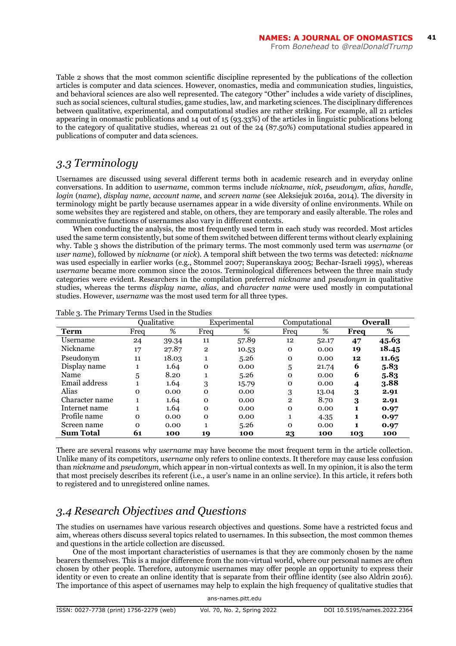Table 2 shows that the most common scientific discipline represented by the publications of the collection articles is computer and data sciences. However, onomastics, media and communication studies, linguistics, and behavioral sciences are also well represented. The category "Other" includes a wide variety of disciplines, such as social sciences, cultural studies, game studies, law, and marketing sciences. The disciplinary differences between qualitative, experimental, and computational studies are rather striking. For example, all 21 articles appearing in onomastic publications and 14 out of 15 (93.33%) of the articles in linguistic publications belong to the category of qualitative studies, whereas 21 out of the 24 (87.50%) computational studies appeared in publications of computer and data sciences.

#### *3.3 Terminology*

Usernames are discussed using several different terms both in academic research and in everyday online conversations. In addition to *username*, common terms include *nickname*, *nick*, *pseudonym*, *alias*, *handle*, *login* (*name*), *display name*, *account name*, and *screen name* (see Aleksiejuk 2016a, 2014). The diversity in terminology might be partly because usernames appear in a wide diversity of online environments. While on some websites they are registered and stable, on others, they are temporary and easily alterable. The roles and communicative functions of usernames also vary in different contexts.

When conducting the analysis, the most frequently used term in each study was recorded. Most articles used the same term consistently, but some of them switched between different terms without clearly explaining why. Table 3 shows the distribution of the primary terms. The most commonly used term was *username* (or *user name*), followed by *nickname* (or *nick*). A temporal shift between the two terms was detected: *nickname* was used especially in earlier works (e.g., Stommel 2007; Superanskaya 2005; Bechar-Israeli 1995), whereas *username* became more common since the 2010s. Terminological differences between the three main study categories were evident. Researchers in the compilation preferred *nickname* and *pseudonym* in qualitative studies, whereas the terms *display name*, *alias*, and *character name* were used mostly in computational studies. However, *username* was the most used term for all three types.

|                  |          | Oualitative |                | Computational<br>Experimental |              |       |      | <b>Overall</b> |
|------------------|----------|-------------|----------------|-------------------------------|--------------|-------|------|----------------|
| Term             | Freq     | %           | Freq           | %                             | Freq         | %     | Frea | %              |
| Username         | 24       | 39.34       | 11             | 57.89                         | 12           | 52.17 | 47   | 45.63          |
| Nickname         | 17       | 27.87       | $\overline{2}$ | 10.53                         | $\Omega$     | 0.00  | 19   | 18.45          |
| Pseudonym        | 11       | 18.03       | 1              | 5.26                          | $\Omega$     | 0.00  | 12   | 11.65          |
| Display name     |          | 1.64        | $\Omega$       | 0.00                          | 5            | 21.74 | 6    | 5.83           |
| Name             | 5        | 8.20        |                | 5.26                          | $\Omega$     | 0.00  | 6    | 5.83           |
| Email address    |          | 1.64        | 3              | 15.79                         | $\mathbf{O}$ | 0.00  | 4    | 3.88           |
| Alias            | $\Omega$ | 0.00        | $\Omega$       | 0.00                          | 3            | 13.04 | 3    | 2.91           |
| Character name   |          | 1.64        | $\Omega$       | 0.00                          | $\mathbf{2}$ | 8.70  | 3    | 2.91           |
| Internet name    |          | 1.64        | $\Omega$       | 0.00                          | $\Omega$     | 0.00  | 1    | 0.97           |
| Profile name     | $\Omega$ | 0.00        | $\Omega$       | 0.00                          |              | 4.35  | 1    | 0.97           |
| Screen name      | $\Omega$ | 0.00        |                | 5.26                          | $\Omega$     | 0.00  |      | 0.97           |
| <b>Sum Total</b> | 61       | 100         | 19             | 100                           | 23           | 100   | 103  | 100            |

Table 3. The Primary Terms Used in the Studies

There are several reasons why *username* may have become the most frequent term in the article collection. Unlike many of its competitors, *username* only refers to online contexts. It therefore may cause less confusion than *nickname* and *pseudonym,* which appear in non-virtual contexts as well. In my opinion, it is also the term that most precisely describes its referent (i.e., a user's name in an online service). In this article, it refers both to registered and to unregistered online names.

# *3.4 Research Objectives and Questions*

The studies on usernames have various research objectives and questions. Some have a restricted focus and aim, whereas others discuss several topics related to usernames. In this subsection, the most common themes and questions in the article collection are discussed.

One of the most important characteristics of usernames is that they are commonly chosen by the name bearers themselves. This is a major difference from the non-virtual world, where our personal names are often chosen by other people. Therefore, autonymic usernames may offer people an opportunity to express their identity or even to create an online identity that is separate from their offline identity (see also Aldrin 2016). The importance of this aspect of usernames may help to explain the high frequency of qualitative studies that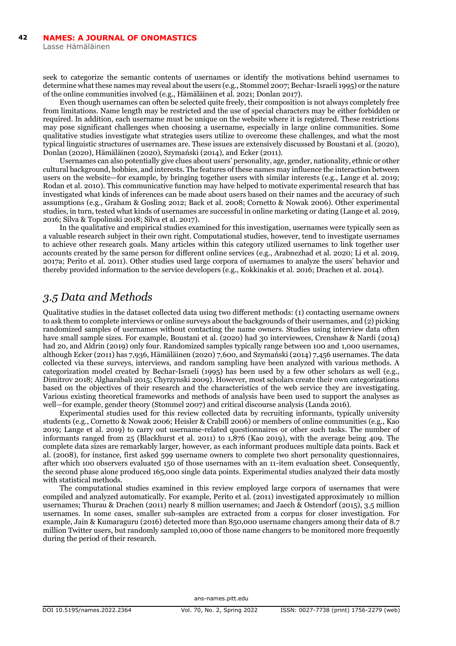seek to categorize the semantic contents of usernames or identify the motivations behind usernames to determine what these names may reveal about the users (e.g., Stommel 2007; Bechar-Israeli 1995) or the nature of the online communities involved (e.g., Hämäläinen et al. 2021; Donlan 2017).

Even though usernames can often be selected quite freely, their composition is not always completely free from limitations. Name length may be restricted and the use of special characters may be either forbidden or required. In addition, each username must be unique on the website where it is registered. These restrictions may pose significant challenges when choosing a username, especially in large online communities. Some qualitative studies investigate what strategies users utilize to overcome these challenges, and what the most typical linguistic structures of usernames are. These issues are extensively discussed by Boustani et al. (2020), Donlan (2020), Hämäläinen (2020), Szymański (2014), and Ecker (2011).

Usernames can also potentially give clues about users' personality, age, gender, nationality, ethnic or other cultural background, hobbies, and interests. The features of these names may influence the interaction between users on the website—for example, by bringing together users with similar interests (e.g., Lange et al. 2019; Rodan et al. 2010). This communicative function may have helped to motivate experimental research that has investigated what kinds of inferences can be made about users based on their names and the accuracy of such assumptions (e.g., Graham & Gosling 2012; Back et al. 2008; Cornetto & Nowak 2006). Other experimental studies, in turn, tested what kinds of usernames are successful in online marketing or dating (Lange et al. 2019, 2016; Silva & Topolinski 2018; Silva et al. 2017).

In the qualitative and empirical studies examined for this investigation, usernames were typically seen as a valuable research subject in their own right. Computational studies, however, tend to investigate usernames to achieve other research goals. Many articles within this category utilized usernames to link together user accounts created by the same person for different online services (e.g., Arabnezhad et al. 2020; Li et al. 2019, 2017a; Perito et al. 2011). Other studies used large corpora of usernames to analyze the users' behavior and thereby provided information to the service developers (e.g., Kokkinakis et al. 2016; Drachen et al. 2014).

#### *3.5 Data and Methods*

Qualitative studies in the dataset collected data using two different methods: (1) contacting username owners to ask them to complete interviews or online surveys about the backgrounds of their usernames, and (2) picking randomized samples of usernames without contacting the name owners. Studies using interview data often have small sample sizes. For example, Boustani et al. (2020) had 30 interviewees, Crenshaw & Nardi (2014) had 20, and Aldrin (2019) only four. Randomized samples typically range between 100 and 1,000 usernames, although Ecker (2011) has 7,936, Hämäläinen (2020) 7,600, and Szymański (2014) 7,456 usernames. The data collected via these surveys, interviews, and random sampling have been analyzed with various methods. A categorization model created by Bechar-Israeli (1995) has been used by a few other scholars as well (e.g., Dimitrov 2018; Algharabali 2015; Chyrzynski 2009). However, most scholars create their own categorizations based on the objectives of their research and the characteristics of the web service they are investigating. Various existing theoretical frameworks and methods of analysis have been used to support the analyses as well—for example, gender theory (Stommel 2007) and critical discourse analysis (Landa 2016).

Experimental studies used for this review collected data by recruiting informants, typically university students (e.g., Cornetto & Nowak 2006; Heisler & Crabill 2006) or members of online communities (e.g., Kao 2019; Lange et al. 2019) to carry out username-related questionnaires or other such tasks. The number of informants ranged from 25 (Blackhurst et al. 2011) to 1,876 (Kao 2019), with the average being 409. The complete data sizes are remarkably larger, however, as each informant produces multiple data points. Back et al. (2008), for instance, first asked 599 username owners to complete two short personality questionnaires, after which 100 observers evaluated 150 of those usernames with an 11-item evaluation sheet. Consequently, the second phase alone produced 165,000 single data points. Experimental studies analyzed their data mostly with statistical methods.

The computational studies examined in this review employed large corpora of usernames that were compiled and analyzed automatically. For example, Perito et al. (2011) investigated approximately 10 million usernames; Thurau & Drachen (2011) nearly 8 million usernames; and Jaech & Ostendorf (2015), 3.5 million usernames. In some cases, smaller sub-samples are extracted from a corpus for closer investigation. For example, Jain & Kumaraguru (2016) detected more than 850,000 username changers among their data of 8.7 million Twitter users, but randomly sampled 10,000 of those name changers to be monitored more frequently during the period of their research.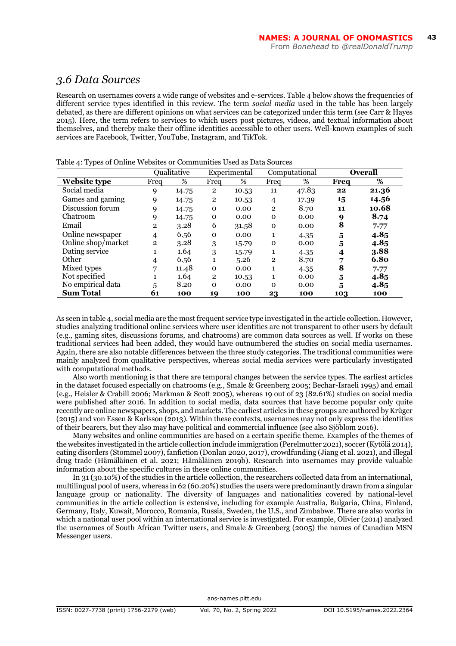#### *3.6 Data Sources*

Research on usernames covers a wide range of websites and e-services. Table 4 below shows the frequencies of different service types identified in this review. The term *social media* used in the table has been largely debated, as there are different opinions on what services can be categorized under this term (see Carr & Hayes 2015). Here, the term refers to services to which users post pictures, videos, and textual information about themselves, and thereby make their offline identities accessible to other users. Well-known examples of such services are Facebook, Twitter, YouTube, Instagram, and TikTok.

|                     |              | Oualitative |              | Experimental | Computational  |       | <b>Overall</b> |       |
|---------------------|--------------|-------------|--------------|--------------|----------------|-------|----------------|-------|
| <b>Website type</b> | Freq         | %           | Freq         | %            | Freq           | %     | Frea           | %     |
| Social media        | 9            | 14.75       | $\mathbf{2}$ | 10.53        | 11             | 47.83 | 22             | 21.36 |
| Games and gaming    | 9            | 14.75       | $\mathbf{2}$ | 10.53        | 4              | 17.39 | 15             | 14.56 |
| Discussion forum    | 9            | 14.75       | $\mathbf{O}$ | 0.00         | $\overline{2}$ | 8.70  | 11             | 10.68 |
| Chatroom            | 9            | 14.75       | $\mathbf{O}$ | 0.00         | $\mathbf{0}$   | 0.00  | 9              | 8.74  |
| Email               | $\mathbf{2}$ | 3.28        | 6            | 31.58        | $\mathbf 0$    | 0.00  | 8              | 7.77  |
| Online newspaper    | 4            | 6.56        | $\mathbf{O}$ | 0.00         | 1              | 4.35  | 5              | 4.85  |
| Online shop/market  | $\mathbf{2}$ | 3.28        | 3            | 15.79        | $\mathbf{O}$   | 0.00  | 5              | 4.85  |
| Dating service      |              | 1.64        | 3            | 15.79        | 1              | 4.35  | 4              | 3.88  |
| Other               | 4            | 6.56        | $\mathbf{1}$ | 5.26         | $\mathbf{2}$   | 8.70  | 7              | 6.80  |
| Mixed types         | 7            | 11.48       | $\mathbf 0$  | 0.00         | 1              | 4.35  | 8              | 7.77  |
| Not specified       |              | 1.64        | $\mathbf{2}$ | 10.53        | 1              | 0.00  | 5              | 4.85  |
| No empirical data   | 5            | 8.20        | $\Omega$     | 0.00         | $\mathbf 0$    | 0.00  | 5              | 4.85  |
| <b>Sum Total</b>    | 61           | 100         | 19           | 100          | 23             | 100   | 103            | 100   |

Table 4: Types of Online Websites or Communities Used as Data Sources

As seen in table 4, social media are the most frequent service type investigated in the article collection. However, studies analyzing traditional online services where user identities are not transparent to other users by default (e.g., gaming sites, discussions forums, and chatrooms) are common data sources as well. If works on these traditional services had been added, they would have outnumbered the studies on social media usernames. Again, there are also notable differences between the three study categories. The traditional communities were mainly analyzed from qualitative perspectives, whereas social media services were particularly investigated with computational methods.

Also worth mentioning is that there are temporal changes between the service types. The earliest articles in the dataset focused especially on chatrooms (e.g., Smale & Greenberg 2005; Bechar-Israeli 1995) and email (e.g., Heisler & Crabill 2006; Markman & Scott 2005), whereas 19 out of 23 (82.61%) studies on social media were published after 2016. In addition to social media, data sources that have become popular only quite recently are online newspapers, shops, and markets. The earliest articles in these groups are authored by Krüger (2015) and von Essen & Karlsson (2013). Within these contexts, usernames may not only express the identities of their bearers, but they also may have political and commercial influence (see also Sjöblom 2016).

Many websites and online communities are based on a certain specific theme. Examples of the themes of the websites investigated in the article collection include immigration (Perelmutter 2021), soccer (Kytölä 2014), eating disorders (Stommel 2007), fanfiction (Donlan 2020, 2017), crowdfunding (Jiang et al. 2021), and illegal drug trade (Hämäläinen et al. 2021; Hämäläinen 2019b). Research into usernames may provide valuable information about the specific cultures in these online communities.

In 31 (30.10%) of the studies in the article collection, the researchers collected data from an international, multilingual pool of users, whereas in 62 (60.20%) studies the users were predominantly drawn from a singular language group or nationality. The diversity of languages and nationalities covered by national-level communities in the article collection is extensive, including for example Australia, Bulgaria, China, Finland, Germany, Italy, Kuwait, Morocco, Romania, Russia, Sweden, the U.S., and Zimbabwe. There are also works in which a national user pool within an international service is investigated. For example, Olivier (2014) analyzed the usernames of South African Twitter users, and Smale & Greenberg (2005) the names of Canadian MSN Messenger users.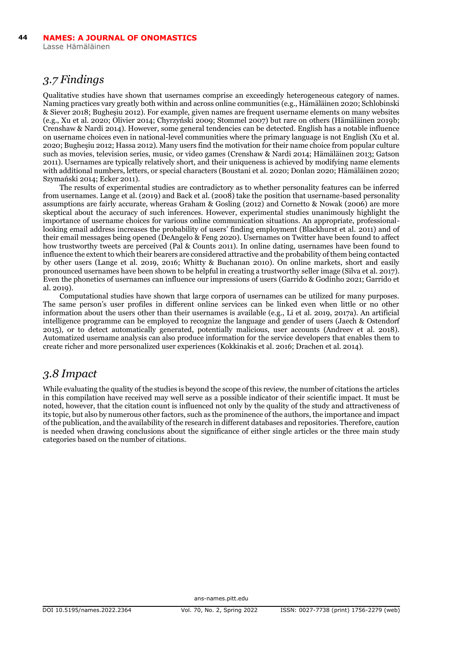#### *3.7 Findings*

Qualitative studies have shown that usernames comprise an exceedingly heterogeneous category of names. Naming practices vary greatly both within and across online communities (e.g., Hämäläinen 2020; Schlobinski & Siever 2018; Bugheşiu 2012). For example, given names are frequent username elements on many websites (e.g., Xu et al. 2020; Olivier 2014; Chyrzyński 2009; Stommel 2007) but rare on others (Hämäläinen 2019b; Crenshaw & Nardi 2014). However, some general tendencies can be detected. English has a notable influence on username choices even in national-level communities where the primary language is not English (Xu et al. 2020; Bugheşiu 2012; Hassa 2012). Many users find the motivation for their name choice from popular culture such as movies, television series, music, or video games (Crenshaw & Nardi 2014; Hämäläinen 2013; Gatson 2011). Usernames are typically relatively short, and their uniqueness is achieved by modifying name elements with additional numbers, letters, or special characters (Boustani et al. 2020; Donlan 2020; Hämäläinen 2020; Szymański 2014; Ecker 2011).

The results of experimental studies are contradictory as to whether personality features can be inferred from usernames. Lange et al. (2019) and Back et al. (2008) take the position that username-based personality assumptions are fairly accurate, whereas Graham & Gosling (2012) and Cornetto & Nowak (2006) are more skeptical about the accuracy of such inferences. However, experimental studies unanimously highlight the importance of username choices for various online communication situations. An appropriate, professionallooking email address increases the probability of users' finding employment (Blackhurst et al. 2011) and of their email messages being opened (DeAngelo & Feng 2020). Usernames on Twitter have been found to affect how trustworthy tweets are perceived (Pal & Counts 2011). In online dating, usernames have been found to influence the extent to which their bearers are considered attractive and the probability of them being contacted by other users (Lange et al. 2019, 2016; Whitty & Buchanan 2010). On online markets, short and easily pronounced usernames have been shown to be helpful in creating a trustworthy seller image (Silva et al. 2017). Even the phonetics of usernames can influence our impressions of users (Garrido & Godinho 2021; Garrido et al. 2019).

Computational studies have shown that large corpora of usernames can be utilized for many purposes. The same person's user profiles in different online services can be linked even when little or no other information about the users other than their usernames is available (e.g., Li et al. 2019, 2017a). An artificial intelligence programme can be employed to recognize the language and gender of users (Jaech & Ostendorf 2015), or to detect automatically generated, potentially malicious, user accounts (Andreev et al. 2018). Automatized username analysis can also produce information for the service developers that enables them to create richer and more personalized user experiences (Kokkinakis et al. 2016; Drachen et al. 2014).

#### *3.8 Impact*

While evaluating the quality of the studies is beyond the scope of this review, the number of citations the articles in this compilation have received may well serve as a possible indicator of their scientific impact. It must be noted, however, that the citation count is influenced not only by the quality of the study and attractiveness of its topic, but also by numerous other factors, such as the prominence of the authors, the importance and impact of the publication, and the availability of the research in different databases and repositories. Therefore, caution is needed when drawing conclusions about the significance of either single articles or the three main study categories based on the number of citations.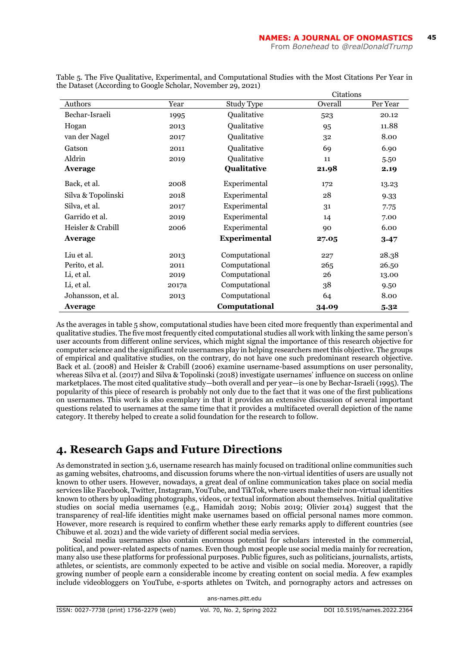|                    |       |                     | Citations |          |  |  |
|--------------------|-------|---------------------|-----------|----------|--|--|
| Authors            | Year  | Study Type          | Overall   | Per Year |  |  |
| Bechar-Israeli     | 1995  | Qualitative         | 523       | 20.12    |  |  |
| Hogan              | 2013  | <b>Qualitative</b>  | 95        | 11.88    |  |  |
| van der Nagel      | 2017  | Oualitative         | 32        | 8.00     |  |  |
| Gatson             | 2011  | Oualitative         | 69        | 6.90     |  |  |
| Aldrin             | 2019  | Oualitative         | 11        | 5.50     |  |  |
| Average            |       | Qualitative         | 21.98     | 2.19     |  |  |
| Back, et al.       | 2008  | Experimental        | 172       | 13.23    |  |  |
| Silva & Topolinski | 2018  | Experimental        | 28        | 9.33     |  |  |
| Silva, et al.      | 2017  | Experimental        | 31        | 7.75     |  |  |
| Garrido et al.     | 2019  | Experimental        | 14        | 7.00     |  |  |
| Heisler & Crabill  | 2006  | Experimental        | 90        | 6.00     |  |  |
| Average            |       | <b>Experimental</b> | 27.05     | 3.47     |  |  |
| Liu et al.         | 2013  | Computational       | 227       | 28.38    |  |  |
| Perito, et al.     | 2011  | Computational       | 265       | 26.50    |  |  |
| Li, et al.         | 2019  | Computational       | 26        | 13.00    |  |  |
| Li, et al.         | 2017a | Computational       | 38        | 9.50     |  |  |
| Johansson, et al.  | 2013  | Computational       | 64        | 8.00     |  |  |
| Average            |       | Computational       | 34.09     | 5.32     |  |  |

Table 5. The Five Qualitative, Experimental, and Computational Studies with the Most Citations Per Year in the Dataset (According to Google Scholar, November 29, 2021) Citations

As the averages in table 5 show, computational studies have been cited more frequently than experimental and qualitative studies. The five most frequently cited computational studies all work with linking the same person's user accounts from different online services, which might signal the importance of this research objective for computer science and the significant role usernames play in helping researchers meet this objective. The groups of empirical and qualitative studies, on the contrary, do not have one such predominant research objective. Back et al. (2008) and Heisler & Crabill (2006) examine username-based assumptions on user personality, whereas Silva et al. (2017) and Silva & Topolinski (2018) investigate usernames' influence on success on online marketplaces. The most cited qualitative study—both overall and per year—is one by Bechar-Israeli (1995). The popularity of this piece of research is probably not only due to the fact that it was one of the first publications on usernames. This work is also exemplary in that it provides an extensive discussion of several important questions related to usernames at the same time that it provides a multifaceted overall depiction of the name category. It thereby helped to create a solid foundation for the research to follow.

#### **4. Research Gaps and Future Directions**

As demonstrated in section 3.6, username research has mainly focused on traditional online communities such as gaming websites, chatrooms, and discussion forums where the non-virtual identities of users are usually not known to other users. However, nowadays, a great deal of online communication takes place on social media services like Facebook, Twitter, Instagram, YouTube, and TikTok, where users make their non-virtual identities known to others by uploading photographs, videos, or textual information about themselves. Initial qualitative studies on social media usernames (e.g., Hamidah 2019; Nobis 2019; Olivier 2014) suggest that the transparency of real-life identities might make usernames based on official personal names more common. However, more research is required to confirm whether these early remarks apply to different countries (see Chibuwe et al. 2021) and the wide variety of different social media services.

Social media usernames also contain enormous potential for scholars interested in the commercial, political, and power-related aspects of names. Even though most people use social media mainly for recreation, many also use these platforms for professional purposes. Public figures, such as politicians, journalists, artists, athletes, or scientists, are commonly expected to be active and visible on social media. Moreover, a rapidly growing number of people earn a considerable income by creating content on social media. A few examples include videobloggers on YouTube, e-sports athletes on Twitch, and pornography actors and actresses on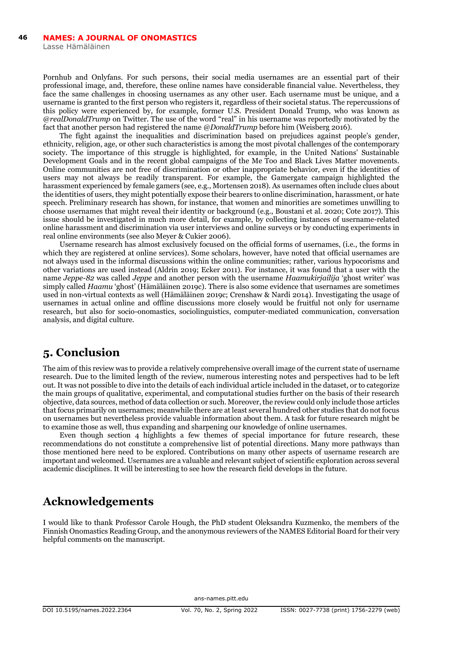Pornhub and Onlyfans. For such persons, their social media usernames are an essential part of their professional image, and, therefore, these online names have considerable financial value. Nevertheless, they face the same challenges in choosing usernames as any other user. Each username must be unique, and a username is granted to the first person who registers it, regardless of their societal status. The repercussions of this policy were experienced by, for example, former U.S. President Donald Trump, who was known as @*realDonaldTrump* on Twitter. The use of the word "real" in his username was reportedly motivated by the fact that another person had registered the name *@DonaldTrump* before him (Weisberg 2016).

The fight against the inequalities and discrimination based on prejudices against people's gender, ethnicity, religion, age, or other such characteristics is among the most pivotal challenges of the contemporary society. The importance of this struggle is highlighted, for example, in the United Nations' Sustainable Development Goals and in the recent global campaigns of the Me Too and Black Lives Matter movements. Online communities are not free of discrimination or other inappropriate behavior, even if the identities of users may not always be readily transparent. For example, the Gamergate campaign highlighted the harassment experienced by female gamers (see, e.g., Mortensen 2018). As usernames often include clues about the identities of users, they might potentially expose their bearers to online discrimination, harassment, or hate speech. Preliminary research has shown, for instance, that women and minorities are sometimes unwilling to choose usernames that might reveal their identity or background (e.g., Boustani et al. 2020; Cote 2017). This issue should be investigated in much more detail, for example, by collecting instances of username-related online harassment and discrimination via user interviews and online surveys or by conducting experiments in real online environments (see also Meyer & Cukier 2006).

Username research has almost exclusively focused on the official forms of usernames, (i.e., the forms in which they are registered at online services). Some scholars, however, have noted that official usernames are not always used in the informal discussions within the online communities; rather, various hypocorisms and other variations are used instead (Aldrin 2019; Ecker 2011). For instance, it was found that a user with the name *Jeppe-82* was called *Jeppe* and another person with the username *Haamukirjailija* 'ghost writer' was simply called *Haamu* 'ghost' (Hämäläinen 2019c). There is also some evidence that usernames are sometimes used in non-virtual contexts as well (Hämäläinen 2019c; Crenshaw & Nardi 2014). Investigating the usage of usernames in actual online and offline discussions more closely would be fruitful not only for username research, but also for socio-onomastics, sociolinguistics, computer-mediated communication, conversation analysis, and digital culture.

#### **5. Conclusion**

The aim of this review was to provide a relatively comprehensive overall image of the current state of username research. Due to the limited length of the review, numerous interesting notes and perspectives had to be left out. It was not possible to dive into the details of each individual article included in the dataset, or to categorize the main groups of qualitative, experimental, and computational studies further on the basis of their research objective, data sources, method of data collection or such. Moreover, the review could only include those articles that focus primarily on usernames; meanwhile there are at least several hundred other studies that do not focus on usernames but nevertheless provide valuable information about them. A task for future research might be to examine those as well, thus expanding and sharpening our knowledge of online usernames.

Even though section 4 highlights a few themes of special importance for future research, these recommendations do not constitute a comprehensive list of potential directions. Many more pathways than those mentioned here need to be explored. Contributions on many other aspects of username research are important and welcomed. Usernames are a valuable and relevant subject of scientific exploration across several academic disciplines. It will be interesting to see how the research field develops in the future.

## **Acknowledgements**

I would like to thank Professor Carole Hough, the PhD student Oleksandra Kuzmenko, the members of the Finnish Onomastics Reading Group, and the anonymous reviewers of the NAMES Editorial Board for their very helpful comments on the manuscript.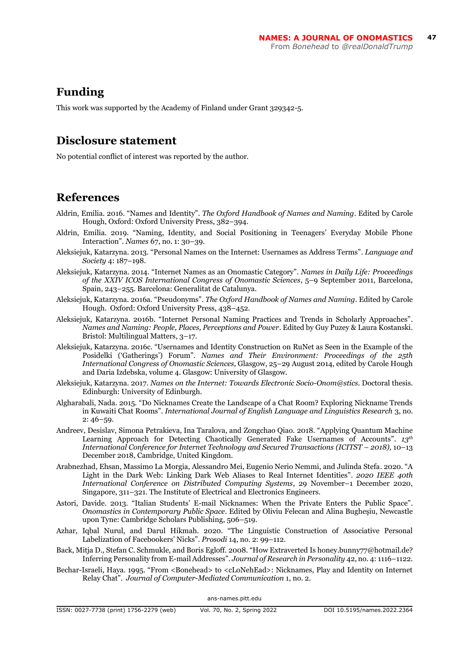#### **Funding**

This work was supported by the Academy of Finland under Grant 329342-5.

#### **Disclosure statement**

No potential conflict of interest was reported by the author.

## **References**

- Aldrin, Emilia. 2016. "Names and Identity". *The Oxford Handbook of Names and Naming*. Edited by Carole Hough, Oxford: Oxford University Press, 382–394.
- Aldrin, Emilia. 2019. "Naming, Identity, and Social Positioning in Teenagers' Everyday Mobile Phone Interaction". *Names* 67, no. 1: 30–39.
- Aleksiejuk, Katarzyna. 2013. "Personal Names on the Internet: Usernames as Address Terms". *Language and Society* 4: 187–198.
- Aleksiejuk, Katarzyna. 2014. "Internet Names as an Onomastic Category". *Names in Daily Life: Proceedings of the XXIV ICOS International Congress of Onomastic Sciences*, 5–9 September 2011, Barcelona, Spain, 243–255. Barcelona: Generalitat de Catalunya.
- Aleksiejuk, Katarzyna. 2016a. "Pseudonyms". *The Oxford Handbook of Names and Naming*. Edited by Carole Hough. Oxford: Oxford University Press, 438–452.
- Aleksiejuk, Katarzyna. 2016b. "Internet Personal Naming Practices and Trends in Scholarly Approaches". *Names and Naming: People, Places, Perceptions and Power*. Edited by Guy Puzey & Laura Kostanski. Bristol: Multilingual Matters, 3–17.
- Aleksiejuk, Katarzyna. 2016c. "Usernames and Identity Construction on RuNet as Seen in the Example of the Posidelki ('Gatherings') Forum". *Names and Their Environment: Proceedings of the 25th International Congress of Onomastic Sciences,* Glasgow, 25–29 August 2014, edited by Carole Hough and Daria Izdebska, volume 4. Glasgow: University of Glasgow.
- Aleksiejuk, Katarzyna. 2017. *Names on the Internet: Towards Electronic Socio-Onom@stics*. Doctoral thesis. Edinburgh: University of Edinburgh.
- Algharabali, Nada. 2015. "Do Nicknames Create the Landscape of a Chat Room? Exploring Nickname Trends in Kuwaiti Chat Rooms". *International Journal of English Language and Linguistics Research* 3, no. 2: 46–59.
- Andreev, Desislav, Simona Petrakieva, Ina Taralova, and Zongchao Qiao. 2018. "Applying Quantum Machine Learning Approach for Detecting Chaotically Generated Fake Usernames of Accounts". *13th International Conference for Internet Technology and Secured Transactions (ICITST – 2018),* 10–13 December 2018, Cambridge, United Kingdom.
- Arabnezhad, Ehsan, Massimo La Morgia, Alessandro Mei, Eugenio Nerio Nemmi, and Julinda Stefa. 2020. "A Light in the Dark Web: Linking Dark Web Aliases to Real Internet Identities". *2020 IEEE 40th International Conference on Distributed Computing Systems*, 29 November–1 December 2020, Singapore, 311–321. The Institute of Electrical and Electronics Engineers.
- Astori, Davide. 2013. "Italian Students' E-mail Nicknames: When the Private Enters the Public Space". *Onomastics in Contemporary Public Space*. Edited by Oliviu Felecan and Alina Bugheşiu, Newcastle upon Tyne: Cambridge Scholars Publishing, 506–519.
- Azhar, Iqbal Nurul, and Darul Hikmah. 2020. "The Linguistic Construction of Associative Personal Labelization of Facebookers' Nicks". *Prosodi* 14, no. 2: 99–112.
- Back, Mitja D., Stefan C. Schmukle, and Boris Egloff. 2008. "How Extraverted Is honey.bunny77@hotmail.de? Inferring Personality from E-mail Addresses". *Journal of Research in Personality* 42, no. 4: 1116–1122.
- Bechar-Israeli, Haya. 1995. "From <Bonehead> to <cLoNehEad>: Nicknames, Play and Identity on Internet Relay Chat". *Journal of Computer-Mediated Communication* 1, no. 2.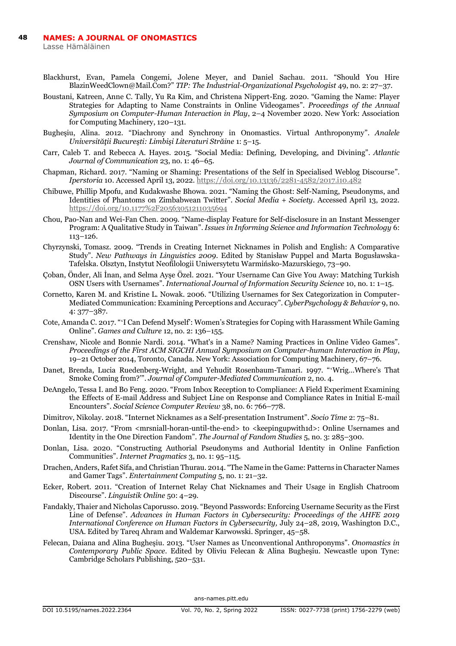Lasse Hämäläinen

- Blackhurst, Evan, Pamela Congemi, Jolene Meyer, and Daniel Sachau. 2011. "Should You Hire BlazinWeedClown@Mail.Com?" *TIP: The Industrial-Organizational Psychologist* 49, no. 2: 27–37.
- Boustani, Katreen, Anne C. Tally, Yu Ra Kim, and Christena Nippert-Eng. 2020. "Gaming the Name: Player Strategies for Adapting to Name Constraints in Online Videogames". *Proceedings of the Annual Symposium on Computer-Human Interaction in Play*, 2–4 November 2020. New York: Association for Computing Machinery, 120–131.
- Bugheşiu, Alina. 2012. "Diachrony and Synchrony in Onomastics. Virtual Anthroponymy". *Analele Universităţii Bucureşti: Limbişi Literaturi Străine* 1: 5–15.
- Carr, Caleb T. and Rebecca A. Hayes. 2015. "Social Media: Defining, Developing, and Divining". *Atlantic Journal of Communication* 23, no. 1: 46–65.
- Chapman, Richard. 2017. "Naming or Shaming: Presentations of the Self in Specialised Weblog Discourse". *Iperstoria* 10. Accessed April 13, 2022.<https://doi.org/10.13136/2281-4582/2017.i10.482>
- Chibuwe, Phillip Mpofu, and Kudakwashe Bhowa. 2021. "Naming the Ghost: Self-Naming, Pseudonyms, and Identities of Phantoms on Zimbabwean Twitter". *Social Media + Society*. Accessed April 13, 2022. <https://doi.org/10.1177%2F20563051211035694>
- Chou, Pao-Nan and Wei-Fan Chen. 2009. "Name-display Feature for Self-disclosure in an Instant Messenger Program: A Qualitative Study in Taiwan". *Issues in Informing Science and Information Technology* 6: 113–126.
- Chyrzynski, Tomasz. 2009. "Trends in Creating Internet Nicknames in Polish and English: A Comparative Study". *New Pathways in Linguistics 2009*. Edited by Stanisław Puppel and Marta Bogusławska-Tafelska. Olsztyn, Instytut Neofilologii Uniwersytetu Warmińsko-Mazurskiego, 73–90.
- Çoban, Önder, Ali İnan, and Selma Ayşe Özel. 2021. "Your Username Can Give You Away: Matching Turkish OSN Users with Usernames". *International Journal of Information Security Science* 10, no. 1: 1–15.
- Cornetto, Karen M. and Kristine L. Nowak. 2006. "Utilizing Usernames for Sex Categorization in Computer-Mediated Communication: Examining Perceptions and Accuracy". *CyberPsychology & Behavior* 9, no. 4: 377–387.
- Cote, Amanda C. 2017. "ʻI Can Defend Myself': Women's Strategies for Coping with Harassment While Gaming Online". *Games and Culture* 12, no. 2: 136–155.
- Crenshaw, Nicole and Bonnie Nardi. 2014. "What's in a Name? Naming Practices in Online Video Games". *Proceedings of the First ACM SIGCHI Annual Symposium on Computer-human Interaction in Play*, 19–21 October 2014, Toronto, Canada. New York: Association for Computing Machinery, 67–76.
- Danet, Brenda, Lucia Ruedenberg-Wright, and Yehudit Rosenbaum-Tamari. 1997. "ʻWrig…Where's That Smoke Coming from?'". *Journal of Computer-Mediated Communication* 2, no. 4.
- DeAngelo, Tessa I. and Bo Feng. 2020. "From Inbox Reception to Compliance: A Field Experiment Examining the Effects of E-mail Address and Subject Line on Response and Compliance Rates in Initial E-mail Encounters". *Social Science Computer Review* 38, no. 6: 766–778.
- Dimitrov, Nikolay. 2018. "Internet Nicknames as a Self-presentation Instrument". *Socio Time* 2: 75–81.
- Donlan, Lisa. 2017. "From <mrsniall-horan-until-the-end> to <keepingupwith1d>: Online Usernames and Identity in the One Direction Fandom". *The Journal of Fandom Studies* 5, no. 3: 285–300.
- Donlan, Lisa. 2020. "Constructing Authorial Pseudonyms and Authorial Identity in Online Fanfiction Communities". *Internet Pragmatics* 3, no. 1: 95–115.
- Drachen, Anders, Rafet Sifa, and Christian Thurau. 2014. "The Name in the Game: Patterns in Character Names and Gamer Tags". *Entertainment Computing* 5, no. 1: 21–32.
- Ecker, Robert. 2011. "Creation of Internet Relay Chat Nicknames and Their Usage in English Chatroom Discourse". *Linguistik Online* 50: 4–29.
- Fandakly, Thaier and Nicholas Caporusso. 2019. "Beyond Passwords: Enforcing Username Security as the First Line of Defense". *Advances in Human Factors in Cybersecurity: Proceedings of the AHFE 2019 International Conference on Human Factors in Cybersecurity,* July 24–28, 2019, Washington D.C., USA. Edited by Tareq Ahram and Waldemar Karwowski. Springer, 45–58.
- Felecan, Daiana and Alina Bugheşiu. 2013. "User Names as Unconventional Anthroponyms". *Onomastics in Contemporary Public Space*. Edited by Oliviu Felecan & Alina Bugheşiu. Newcastle upon Tyne: Cambridge Scholars Publishing, 520–531.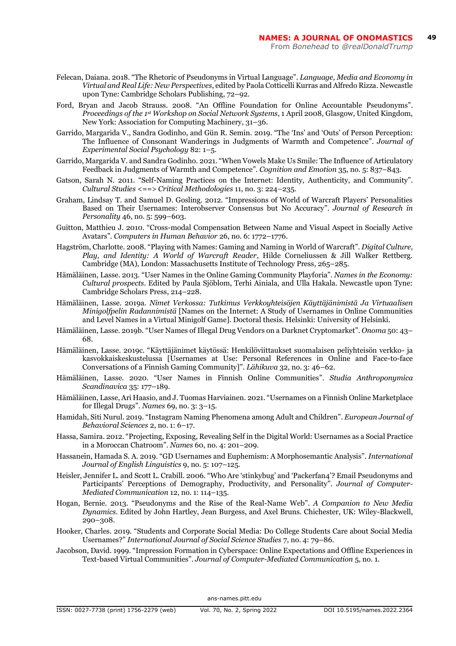- Felecan, Daiana. 2018. "The Rhetoric of Pseudonyms in Virtual Language". *Language, Media and Economy in Virtual and Real Life: New Perspectives*, edited by Paola Cotticelli Kurras and Alfredo Rizza. Newcastle upon Tyne: Cambridge Scholars Publishing, 72–92.
- Ford, Bryan and Jacob Strauss. 2008. "An Offline Foundation for Online Accountable Pseudonyms". *Proceedings of the 1st Workshop on Social Network Systems*, 1 April 2008, Glasgow, United Kingdom, New York: Association for Computing Machinery, 31–36.
- Garrido, Margarida V., Sandra Godinho, and Gün R. Semin. 2019. "The 'Ins' and 'Outs' of Person Perception: The Influence of Consonant Wanderings in Judgments of Warmth and Competence". *Journal of Experimental Social Psychology* 82: 1–5.
- Garrido, Margarida V. and Sandra Godinho. 2021. "When Vowels Make Us Smile: The Influence of Articulatory Feedback in Judgments of Warmth and Competence". *Cognition and Emotion* 35, no. 5: 837–843.
- Gatson, Sarah N. 2011. "Self-Naming Practices on the Internet: Identity, Authenticity, and Community". *Cultural Studies <==> Critical Methodologies* 11, no. 3: 224–235.
- Graham, Lindsay T. and Samuel D. Gosling. 2012. "Impressions of World of Warcraft Players' Personalities Based on Their Usernames: Interobserver Consensus but No Accuracy". *Journal of Research in Personality* 46, no. 5: 599–603.
- Guitton, Matthieu J. 2010. "Cross-modal Compensation Between Name and Visual Aspect in Socially Active Avatars". *Computers in Human Behavior* 26, no. 6: 1772–1776.
- Hagström, Charlotte. 2008. "Playing with Names: Gaming and Naming in World of Warcraft". *Digital Culture, Play, and Identity: A World of Warcraft Reader*, Hilde Corneliussen & Jill Walker Rettberg. Cambridge (MA), London: Massachusetts Institute of Technology Press, 265–285.
- Hämäläinen, Lasse. 2013. "User Names in the Online Gaming Community Playforia". *Names in the Economy: Cultural prospects*. Edited by Paula Sjöblom, Terhi Ainiala, and Ulla Hakala. Newcastle upon Tyne: Cambridge Scholars Press, 214–228.
- Hämäläinen, Lasse. 2019a. *Nimet Verkossa: Tutkimus Verkkoyhteisöjen Käyttäjänimistä Ja Virtuaalisen Minigolfpelin Radannimistä* [Names on the Internet: A Study of Usernames in Online Communities and Level Names in a Virtual Minigolf Game]. Doctoral thesis. Helsinki: University of Helsinki.
- Hämäläinen, Lasse. 2019b. "User Names of Illegal Drug Vendors on a Darknet Cryptomarket". *Onoma* 50: 43– 68.
- Hämäläinen, Lasse. 2019c. "Käyttäjänimet käytössä: Henkilöviittaukset suomalaisen peliyhteisön verkko- ja kasvokkaiskeskustelussa [Usernames at Use: Personal References in Online and Face-to-face Conversations of a Finnish Gaming Community]". *Lähikuva* 32, no. 3: 46–62.
- Hämäläinen, Lasse. 2020. "User Names in Finnish Online Communities". *Studia Anthroponymica Scandinavica* 35: 177–189.
- Hämäläinen, Lasse, Ari Haasio, and J. Tuomas Harviainen. 2021. "Usernames on a Finnish Online Marketplace for Illegal Drugs". *Names* 69, no. 3: 3–15.
- Hamidah, Siti Nurul. 2019. "Instagram Naming Phenomena among Adult and Children". *European Journal of Behavioral Sciences* 2, no. 1: 6–17.
- Hassa, Samira. 2012. "Projecting, Exposing, Revealing Self in the Digital World: Usernames as a Social Practice in a Moroccan Chatroom". *Names* 60, no. 4: 201–209.
- Hassanein, Hamada S. A. 2019. "GD Usernames and Euphemism: A Morphosemantic Analysis". *International Journal of English Linguistics* 9, no. 5: 107–125.
- Heisler, Jennifer L. and Scott L. Crabill. 2006. "Who Are 'stinkybug' and 'Packerfan4'? Email Pseudonyms and Participants' Perceptions of Demography, Productivity, and Personality". *Journal of Computer-Mediated Communication* 12, no. 1: 114–135.
- Hogan, Bernie. 2013. "Pseudonyms and the Rise of the Real-Name Web". *A Companion to New Media Dynamics*. Edited by John Hartley, Jean Burgess, and Axel Bruns. Chichester, UK: Wiley-Blackwell, 290–308.
- Hooker, Charles. 2019. "Students and Corporate Social Media: Do College Students Care about Social Media Usernames?" *International Journal of Social Science Studies* 7, no. 4: 79–86.
- Jacobson, David. 1999. "Impression Formation in Cyberspace: Online Expectations and Offline Experiences in Text-based Virtual Communities". *Journal of Computer-Mediated Communication* 5, no. 1.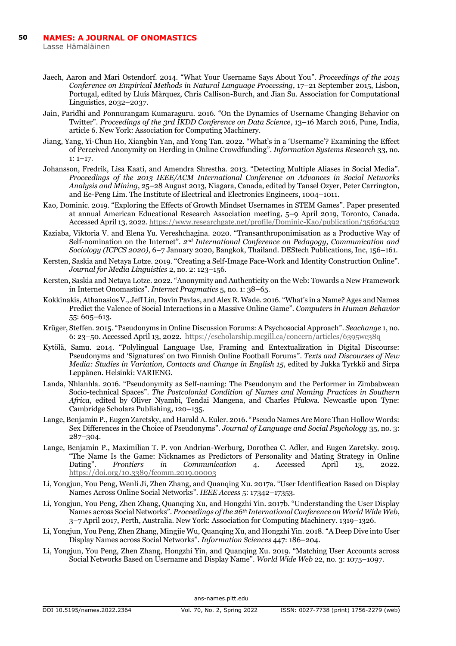Lasse Hämäläinen

- Jaech, Aaron and Mari Ostendorf. 2014. "What Your Username Says About You". *Proceedings of the 2015 Conference on Empirical Methods in Natural Language Processing*, 17–21 September 2015, Lisbon, Portugal, edited by Lluís Màrquez, Chris Callison-Burch, and Jian Su. Association for Computational Linguistics, 2032–2037.
- Jain, Paridhi and Ponnurangam Kumaraguru. 2016. "On the Dynamics of Username Changing Behavior on Twitter". *Proceedings of the 3rd IKDD Conference on Data Science*, 13–16 March 2016, Pune, India, article 6. New York: Association for Computing Machinery.
- Jiang, Yang, Yi-Chun Ho, Xiangbin Yan, and Yong Tan. 2022. "What's in a 'Username'? Examining the Effect of Perceived Anonymity on Herding in Online Crowdfunding". *Information Systems Research* 33, no. 1: 1–17.
- Johansson, Fredrik, Lisa Kaati, and Amendra Shrestha. 2013. "Detecting Multiple Aliases in Social Media". *Proceedings of the 2013 IEEE/ACM International Conference on Advances in Social Networks Analysis and Mining*, 25–28 August 2013, Niagara, Canada, edited by Tansel Ozyer, Peter Carrington, and Ee-Peng Lim. The Institute of Electrical and Electronics Engineers, 1004–1011.
- Kao, Dominic. 2019. "Exploring the Effects of Growth Mindset Usernames in STEM Games". Paper presented at annual American Educational Research Association meeting, 5–9 April 2019, Toronto, Canada. Accessed April 13, 2022[. https://www.researchgate.net/profile/Dominic-Kao/publication/356264392](https://www.researchgate.net/profile/Dominic-Kao/publication/356264392)
- Kaziaba, Viktoria V. and Elena Yu. Vereshchagina. 2020. "Transanthroponimisation as a Productive Way of Self-nomination on the Internet". *2nd International Conference on Pedagogy, Communication and Sociology (ICPCS 2020)*, 6–7 January 2020, Bangkok, Thailand. DEStech Publications, Inc, 156–161.
- Kersten, Saskia and Netaya Lotze. 2019. "Creating a Self-Image Face-Work and Identity Construction Online". *Journal for Media Linguistics* 2, no. 2: 123–156.
- Kersten, Saskia and Netaya Lotze. 2022. "Anonymity and Authenticity on the Web: Towards a New Framework in Internet Onomastics". *Internet Pragmatics* 5, no. 1: 38–65.
- Kokkinakis, Athanasios V., Jeff Lin, Davin Pavlas, and Alex R. Wade. 2016. "What's in a Name? Ages and Names Predict the Valence of Social Interactions in a Massive Online Game". *Computers in Human Behavior*  55: 605–613.
- Krüger, Steffen. 2015. "Pseudonyms in Online Discussion Forums: A Psychosocial Approach". *Seachange* 1, no. 6: 23–50. Accessed April 13, 2022.<https://escholarship.mcgill.ca/concern/articles/6395wc38q>
- Kytölä, Samu. 2014. "Polylingual Language Use, Framing and Entextualization in Digital Discourse: Pseudonyms and 'Signatures' on two Finnish Online Football Forums". *Texts and Discourses of New Media: Studies in Variation, Contacts and Change in English 15*, edited by Jukka Tyrkkö and Sirpa Leppänen. Helsinki: VARIENG.
- Landa, Nhlanhla. 2016. "Pseudonymity as Self-naming: The Pseudonym and the Performer in Zimbabwean Socio-technical Spaces". *The Postcolonial Condition of Names and Naming Practices in Southern Africa*, edited by Oliver Nyambi, Tendai Mangena, and Charles Pfukwa. Newcastle upon Tyne: Cambridge Scholars Publishing, 120–135.
- Lange, Benjamin P., Eugen Zaretsky, and Harald A. Euler. 2016. "Pseudo Names Are More Than Hollow Words: Sex Differences in the Choice of Pseudonyms". *Journal of Language and Social Psychology* 35, no. 3: 287–304.
- Lange, Benjamin P., Maximilian T. P. von Andrian-Werburg, Dorothea C. Adler, and Eugen Zaretsky. 2019. "The Name Is the Game: Nicknames as Predictors of Personality and Mating Strategy in Online Dating". *Frontiers in Communication* 4. Accessed April 13, 2022. <https://doi.org/10.3389/fcomm.2019.00003>
- Li, Yongjun, You Peng, Wenli Ji, Zhen Zhang, and Quanqing Xu. 2017a. "User Identification Based on Display Names Across Online Social Networks". *IEEE Access* 5: 17342–17353.
- Li, Yongjun, You Peng, Zhen Zhang, Quanqing Xu, and Hongzhi Yin. 2017b. "Understanding the User Display Names across Social Networks". *Proceedings of the 26th International Conference on World Wide Web*, 3–7 April 2017, Perth, Australia. New York: Association for Computing Machinery. 1319–1326.
- Li, Yongjun, You Peng, Zhen Zhang, Mingjie Wu, Quanqing Xu, and Hongzhi Yin. 2018. "A Deep Dive into User Display Names across Social Networks". *Information Sciences* 447: 186–204.
- Li, Yongjun, You Peng, Zhen Zhang, Hongzhi Yin, and Quanqing Xu. 2019. "Matching User Accounts across Social Networks Based on Username and Display Name". *World Wide Web* 22, no. 3: 1075–1097.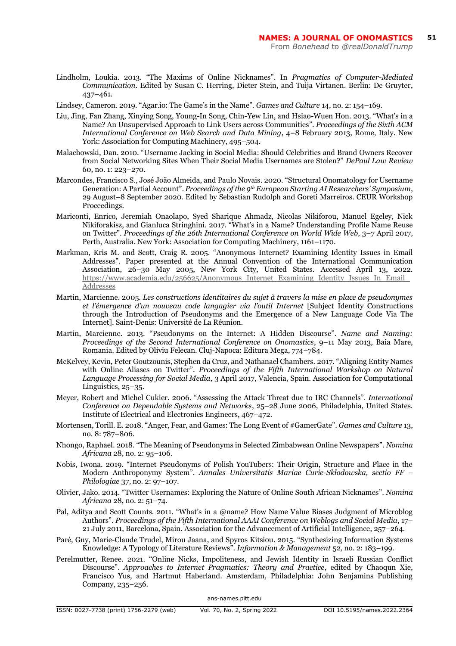- Lindholm, Loukia. 2013. "The Maxims of Online Nicknames". In *Pragmatics of Computer-Mediated Communication*. Edited by Susan C. Herring, Dieter Stein, and Tuija Virtanen. Berlin: De Gruyter, 437–461.
- Lindsey, Cameron. 2019. "Agar.io: The Game's in the Name". *Games and Culture* 14, no. 2: 154–169.
- Liu, Jing, Fan Zhang, Xinying Song, Young-In Song, Chin-Yew Lin, and Hsiao-Wuen Hon. 2013. "What's in a Name? An Unsupervised Approach to Link Users across Communities". *Proceedings of the Sixth ACM International Conference on Web Search and Data Mining*, 4–8 February 2013, Rome, Italy. New York: Association for Computing Machinery, 495–504.
- Malachowski, Dan. 2010. "Username Jacking in Social Media: Should Celebrities and Brand Owners Recover from Social Networking Sites When Their Social Media Usernames are Stolen?" *DePaul Law Review* 60, no. 1: 223–270.
- Marcondes, Francisco S., José João Almeida, and Paulo Novais. 2020. "Structural Onomatology for Username Generation: A Partial Account". *Proceedings of the 9th European Starting AI Researchers' Symposium*, 29 August–8 September 2020. Edited by Sebastian Rudolph and Goreti Marreiros. CEUR Workshop Proceedings.
- Mariconti, Enrico, Jeremiah Onaolapo, Syed Sharique Ahmadz, Nicolas Nikiforou, Manuel Egeley, Nick Nikiforakisz, and Gianluca Stringhini. 2017. "What's in a Name? Understanding Profile Name Reuse on Twitter". *Proceedings of the 26th International Conference on World Wide Web*, 3–7 April 2017, Perth, Australia. New York: Association for Computing Machinery, 1161–1170.
- Markman, Kris M. and Scott, Craig R. 2005. "Anonymous Internet? Examining Identity Issues in Email Addresses". Paper presented at the Annual Convention of the International Communication Association, 26–30 May 2005, New York City, United States. Accessed April 13, 2022. [https://www.academia.edu/256625/Anonymous\\_Internet\\_Examining\\_Identity\\_Issues\\_In\\_Email\\_](https://www.academia.edu/256625/Anonymous_Internet_Examining_Identity_Issues_In_Email_Addresses) [Addresses](https://www.academia.edu/256625/Anonymous_Internet_Examining_Identity_Issues_In_Email_Addresses)
- Martin, Marcienne. 2005. *Les constructions identitaires du sujet à travers la mise en place de pseudonymes et l'émergence d'un nouveau code langagier via l'outil Internet* [Subject Identity Constructions through the Introduction of Pseudonyms and the Emergence of a New Language Code Via The Internet]. Saint-Denis: Université de La Réunion.
- Martin, Marcienne. 2013. "Pseudonyms on the Internet: A Hidden Discourse". *Name and Naming: Proceedings of the Second International Conference on Onomastics*, 9–11 May 2013, Baia Mare, Romania. Edited by Oliviu Felecan. Cluj-Napoca: Editura Mega, 774–784.
- McKelvey, Kevin, Peter Goutzounis, Stephen da Cruz, and Nathanael Chambers. 2017. "Aligning Entity Names with Online Aliases on Twitter". *Proceedings of the Fifth International Workshop on Natural Language Processing for Social Media*, 3 April 2017, Valencia, Spain. Association for Computational Linguistics, 25–35.
- Meyer, Robert and Michel Cukier. 2006. "Assessing the Attack Threat due to IRC Channels". *International Conference on Dependable Systems and Networks*, 25–28 June 2006, Philadelphia, United States. Institute of Electrical and Electronics Engineers, 467–472.
- Mortensen, Torill. E. 2018. "Anger, Fear, and Games: The Long Event of #GamerGate". *Games and Culture* 13, no. 8: 787–806.
- Nhongo, Raphael. 2018. "The Meaning of Pseudonyms in Selected Zimbabwean Online Newspapers". *Nomina Africana* 28, no. 2: 95–106.
- Nobis, Iwona. 2019. "Internet Pseudonyms of Polish YouTubers: Their Origin, Structure and Place in the Modern Anthroponymy System". *Annales Universitatis Mariae Curie-Skłodowska, sectio FF – Philologiae* 37, no. 2: 97–107.
- Olivier, Jako. 2014. "Twitter Usernames: Exploring the Nature of Online South African Nicknames". *Nomina Africana* 28, no. 2: 51–74.
- Pal, Aditya and Scott Counts. 2011. "What's in a @name? How Name Value Biases Judgment of Microblog Authors". *Proceedings of the Fifth International AAAI Conference on Weblogs and Social Media*, 17– 21 July 2011, Barcelona, Spain. Association for the Advancement of Artificial Intelligence, 257–264.
- Paré, Guy, Marie-Claude Trudel, Mirou Jaana, and Spyros Kitsiou. 2015. "Synthesizing Information Systems Knowledge: A Typology of Literature Reviews". *Information & Management* 52, no. 2: 183–199.
- Perelmutter, Renee. 2021. "Online Nicks, Impoliteness, and Jewish Identity in Israeli Russian Conflict Discourse". *Approaches to Internet Pragmatics: Theory and Practice*, edited by Chaoqun Xie, Francisco Yus, and Hartmut Haberland. Amsterdam, Philadelphia: John Benjamins Publishing Company, 235–256.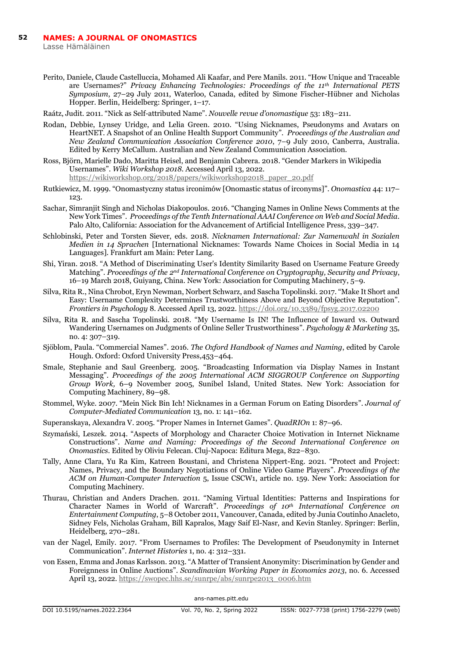Lasse Hämäläinen

- Perito, Daniele, Claude Castelluccia, Mohamed Ali Kaafar, and Pere Manils. 2011. "How Unique and Traceable are Usernames?" *Privacy Enhancing Technologies: Proceedings of the 11th International PETS Symposium*, 27–29 July 2011, Waterloo, Canada, edited by Simone Fischer-Hübner and Nicholas Hopper. Berlin, Heidelberg: Springer, 1–17.
- Raátz, Judit. 2011. "Nick as Self-attributed Name". *Nouvelle revue d'onomastique* 53: 183–211.
- Rodan, Debbie, Lynsey Uridge, and Lelia Green. 2010. "Using Nicknames, Pseudonyms and Avatars on HeartNET. A Snapshot of an Online Health Support Community". *Proceedings of the Australian and New Zealand Communication Association Conference 2010*, 7–9 July 2010, Canberra, Australia. Edited by Kerry McCallum. Australian and New Zealand Communication Association.
- Ross, Björn, Marielle Dado, Maritta Heisel, and Benjamin Cabrera. 2018. "Gender Markers in Wikipedia Usernames". *Wiki Workshop 2018*. Accessed April 13, 2022. [https://wikiworkshop.org/2018/papers/wikiworkshop2018\\_paper\\_20.pdf](https://wikiworkshop.org/2018/papers/wikiworkshop2018_paper_20.pdf)
- Rutkiewicz, M. 1999. "Onomastyczny status irconimów [Onomastic status of irconyms]". *Onomastica* 44: 117– 123.
- Sachar, Simranjit Singh and Nicholas Diakopoulos. 2016. "Changing Names in Online News Comments at the New York Times". *Proceedings of the Tenth International AAAI Conference on Web and Social Media*. Palo Alto, California: Association for the Advancement of Artificial Intelligence Press, 339–347.
- Schlobinski, Peter and Torsten Siever, eds. 2018. *Nicknamen International: Zur Namenwahl in Sozialen Medien in 14 Sprachen* [International Nicknames: Towards Name Choices in Social Media in 14 Languages]. Frankfurt am Main: Peter Lang.
- Shi, Yiran. 2018. "A Method of Discriminating User's Identity Similarity Based on Username Feature Greedy Matching". *Proceedings of the 2nd International Conference on Cryptography, Security and Privacy*, 16–19 March 2018, Guiyang, China. New York: Association for Computing Machinery, 5–9.
- Silva, Rita R., Nina Chrobot, Eryn Newman, Norbert Schwarz, and Sascha Topolinski. 2017. "Make It Short and Easy: Username Complexity Determines Trustworthiness Above and Beyond Objective Reputation". *Frontiers in Psychology* 8. Accessed April 13, 2022[. https://doi.org/10.3389/fpsyg.2017.02200](https://doi.org/10.3389/fpsyg.2017.02200)
- Silva, Rita R. and Sascha Topolinski. 2018. "My Username Is IN! The Influence of Inward vs. Outward Wandering Usernames on Judgments of Online Seller Trustworthiness". *Psychology & Marketing* 35, no. 4: 307–319.
- Sjöblom, Paula. "Commercial Names". 2016. *The Oxford Handbook of Names and Naming*, edited by Carole Hough. Oxford: Oxford University Press,453–464.
- Smale, Stephanie and Saul Greenberg. 2005. "Broadcasting Information via Display Names in Instant Messaging". *Proceedings of the 2005 International ACM SIGGROUP Conference on Supporting Group Work,* 6–9 November 2005, Sunibel Island, United States. New York: Association for Computing Machinery, 89–98.
- Stommel, Wyke. 2007. "Mein Nick Bin Ich! Nicknames in a German Forum on Eating Disorders". *Journal of Computer-Mediated Communication* 13, no. 1: 141–162.
- Superanskaya, Alexandra V. 2005. "Proper Names in Internet Games". *QuadRIOn* 1: 87–96.
- Szymański, Leszek. 2014. "Aspects of Morphology and Character Choice Motivation in Internet Nickname Constructions". *Name and Naming: Proceedings of the Second International Conference on Onomastics*. Edited by Oliviu Felecan. Cluj-Napoca: Editura Mega, 822–830.
- Tally, Anne Clara, Yu Ra Kim, Katreen Boustani, and Christena Nippert-Eng. 2021. "Protect and Project: Names, Privacy, and the Boundary Negotiations of Online Video Game Players". *Proceedings of the ACM on Human-Computer Interaction* 5, Issue CSCW1, article no. 159. New York: Association for Computing Machinery.
- Thurau, Christian and Anders Drachen. 2011. "Naming Virtual Identities: Patterns and Inspirations for Character Names in World of Warcraft". *Proceedings of 10th International Conference on Entertainment Computing*, 5–8 October 2011, Vancouver, Canada, edited by Junia Coutinho Anacleto, Sidney Fels, Nicholas Graham, Bill Kapralos, Magy Saif El-Nasr, and Kevin Stanley. Springer: Berlin, Heidelberg, 270–281.
- van der Nagel, Emily. 2017. "From Usernames to Profiles: The Development of Pseudonymity in Internet Communication". *Internet Histories* 1, no. 4: 312–331.
- von Essen, Emma and Jonas Karlsson. 2013. "A Matter of Transient Anonymity: Discrimination by Gender and Foreignness in Online Auctions". *Scandinavian Working Paper in Economics 2013*, no. 6. Accessed April 13, 2022[. https://swopec.hhs.se/sunrpe/abs/sunrpe2013\\_0006.htm](https://swopec.hhs.se/sunrpe/abs/sunrpe2013_0006.htm)